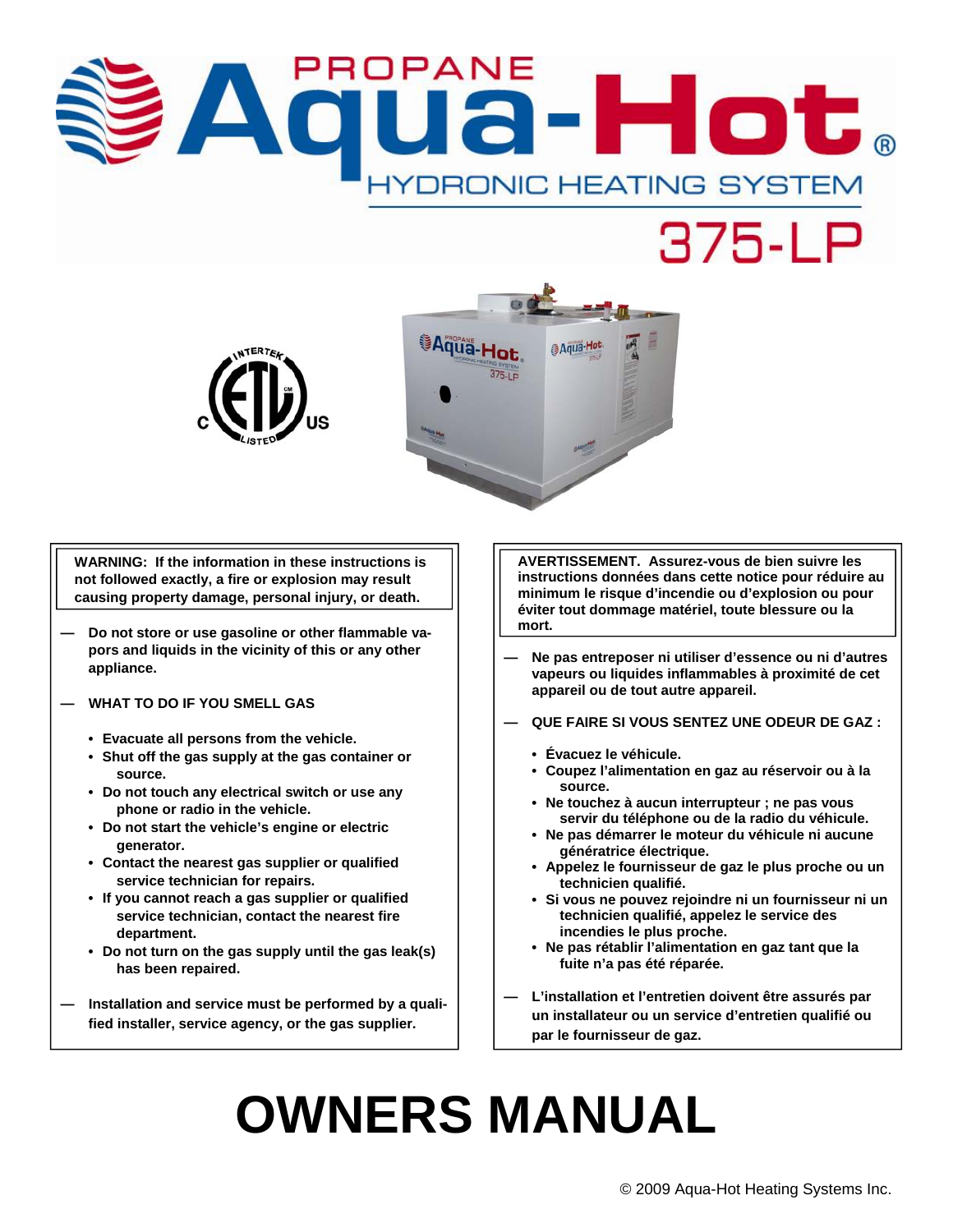# 3-Hot.  $\Delta$ **IYDRONIC HEATING SYSTEM**





**WARNING: If the information in these instructions is not followed exactly, a fire or explosion may result causing property damage, personal injury, or death.** 

- **Do not store or use gasoline or other flammable vapors and liquids in the vicinity of this or any other appliance.**
- **WHAT TO DO IF YOU SMELL GAS** 
	- **Evacuate all persons from the vehicle.**
	- **Shut off the gas supply at the gas container or source.**
	- **Do not touch any electrical switch or use any phone or radio in the vehicle.**
	- **Do not start the vehicle's engine or electric generator.**
	- **Contact the nearest gas supplier or qualified service technician for repairs.**
	- **If you cannot reach a gas supplier or qualified service technician, contact the nearest fire department.**
	- **Do not turn on the gas supply until the gas leak(s) has been repaired.**
- **Installation and service must be performed by a qualified installer, service agency, or the gas supplier.**

**AVERTISSEMENT. Assurez-vous de bien suivre les instructions données dans cette notice pour réduire au minimum le risque d'incendie ou d'explosion ou pour éviter tout dommage matériel, toute blessure ou la mort.** 

- **Ne pas entreposer ni utiliser d'essence ou ni d'autres vapeurs ou liquides inflammables à proximité de cet appareil ou de tout autre appareil.**
- **QUE FAIRE SI VOUS SENTEZ UNE ODEUR DE GAZ :** 
	- **Évacuez le véhicule.**
	- **Coupez l'alimentation en gaz au réservoir ou à la source.**
	- **Ne touchez à aucun interrupteur ; ne pas vous servir du téléphone ou de la radio du véhicule.**
	- **Ne pas démarrer le moteur du véhicule ni aucune génératrice électrique.**
	- **Appelez le fournisseur de gaz le plus proche ou un technicien qualifié.**
	- **Si vous ne pouvez rejoindre ni un fournisseur ni un technicien qualifié, appelez le service des incendies le plus proche.**
	- **Ne pas rétablir l'alimentation en gaz tant que la fuite n'a pas été réparée.**
- **L'installation et l'entretien doivent être assurés par un installateur ou un service d'entretien qualifié ou par le fournisseur de gaz.**

# **OWNERS MANUAL**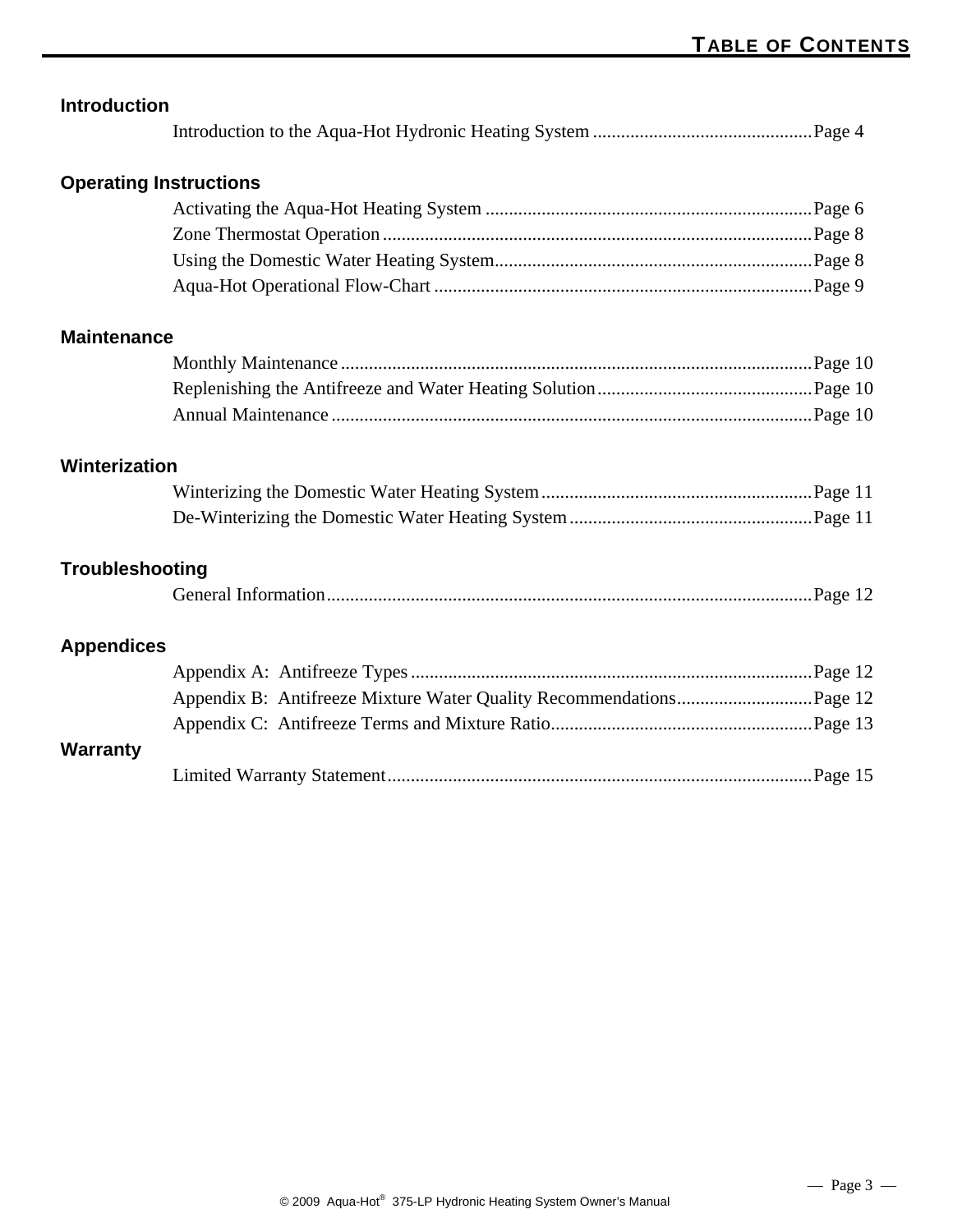| <b>Introduction</b>           |  |
|-------------------------------|--|
|                               |  |
| <b>Operating Instructions</b> |  |
|                               |  |
|                               |  |
|                               |  |
|                               |  |
| <b>Maintenance</b>            |  |
|                               |  |
|                               |  |
|                               |  |
| Winterization                 |  |
|                               |  |
|                               |  |
| <b>Troubleshooting</b>        |  |
|                               |  |
| <b>Appendices</b>             |  |
|                               |  |
|                               |  |
|                               |  |
| <b>Warranty</b>               |  |
|                               |  |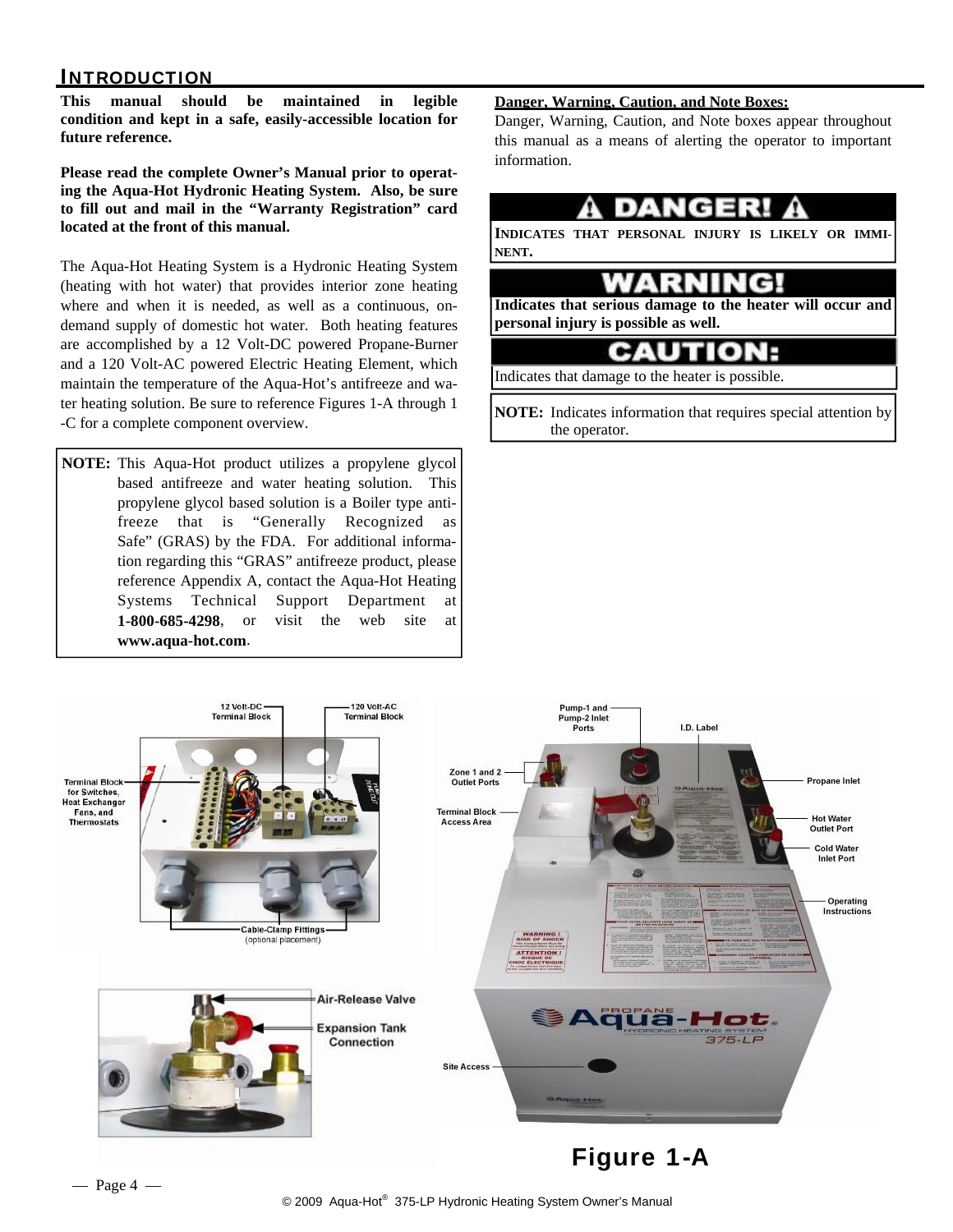#### **INTRODUCTION**

**This manual should be maintained in legible condition and kept in a safe, easily-accessible location for future reference.** 

**Please read the complete Owner's Manual prior to operating the Aqua-Hot Hydronic Heating System. Also, be sure to fill out and mail in the "Warranty Registration" card located at the front of this manual.** 

The Aqua-Hot Heating System is a Hydronic Heating System (heating with hot water) that provides interior zone heating where and when it is needed, as well as a continuous, ondemand supply of domestic hot water. Both heating features are accomplished by a 12 Volt-DC powered Propane-Burner and a 120 Volt-AC powered Electric Heating Element, which maintain the temperature of the Aqua-Hot's antifreeze and water heating solution. Be sure to reference Figures 1-A through 1 -C for a complete component overview.

**NOTE:** This Aqua-Hot product utilizes a propylene glycol based antifreeze and water heating solution. This propylene glycol based solution is a Boiler type antifreeze that is "Generally Recognized as Safe" (GRAS) by the FDA. For additional information regarding this "GRAS" antifreeze product, please reference Appendix A, contact the Aqua-Hot Heating Systems Technical Support Department at **1-800-685-4298**, or visit the web site at **www.aqua-hot.com**.

#### **Danger, Warning, Caution, and Note Boxes:**

Danger, Warning, Caution, and Note boxes appear throughout this manual as a means of alerting the operator to important information.



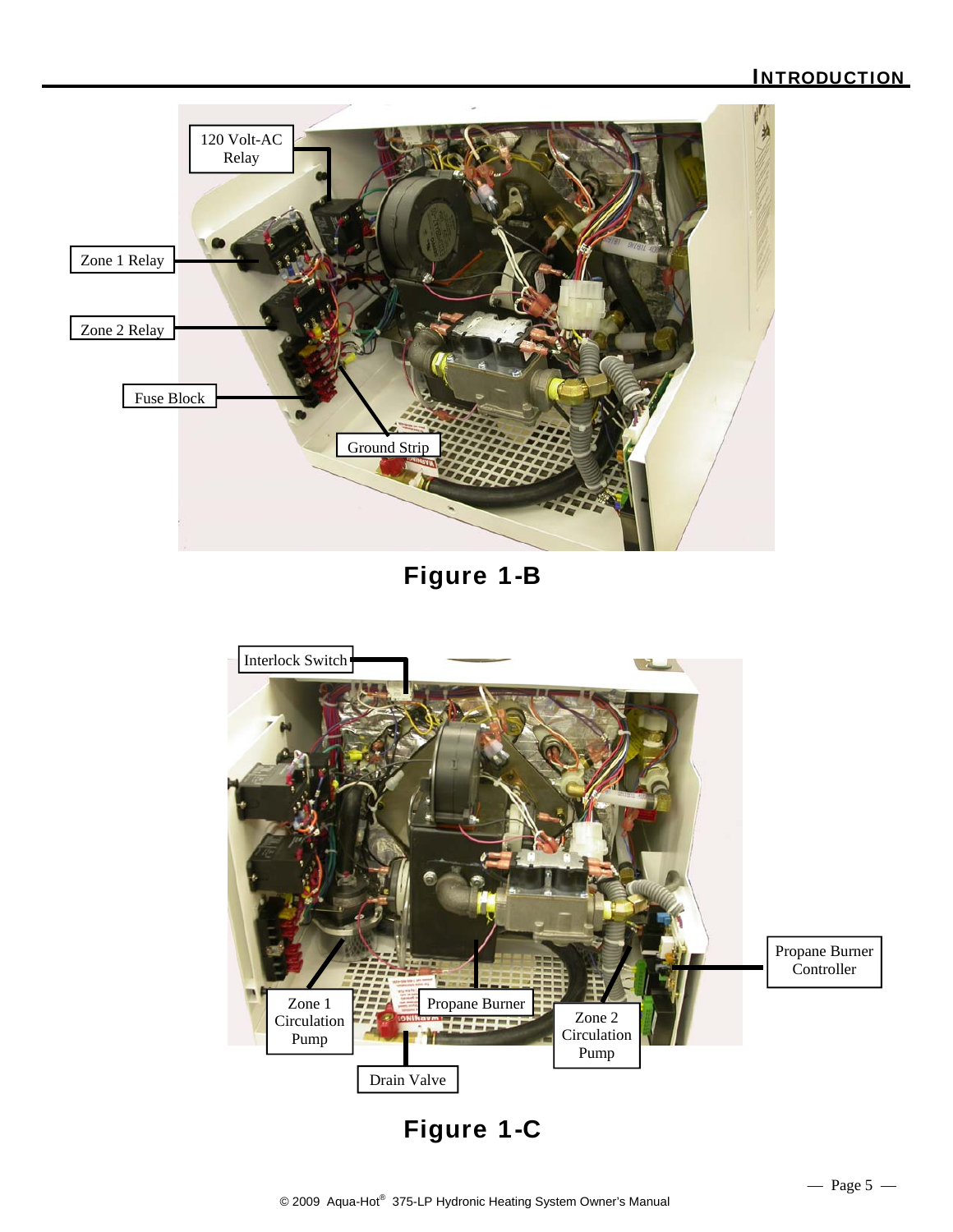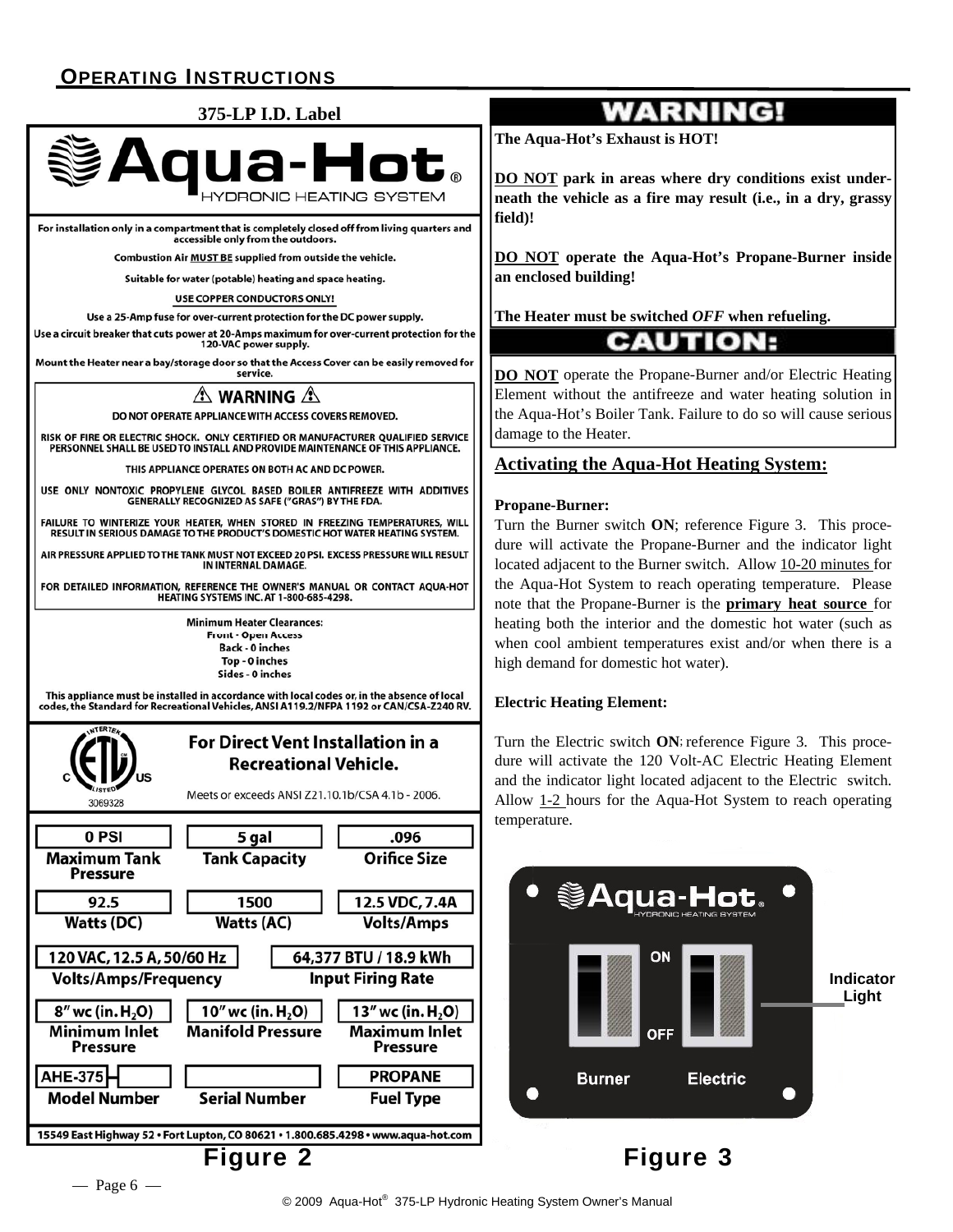#### OPERATING INSTRUCTIONS



For installation only in a compartment that is completely closed off from living quarters and accessible only from the outdoors.

Combustion Air MUST BE supplied from outside the vehicle.

Suitable for water (potable) heating and space heating.

**USE COPPER CONDUCTORS ONLY!** 

Use a 25-Amp fuse for over-current protection for the DC power supply.

Use a circuit breaker that cuts power at 20-Amps maximum for over-current protection for the 120-VAC power supply.

Mount the Heater near a bay/storage door so that the Access Cover can be easily removed for service.

#### $\triangle$  warning  $\triangle$

DO NOT OPERATE APPLIANCE WITH ACCESS COVERS REMOVED.

RISK OF FIRE OR ELECTRIC SHOCK. ONLY CERTIFIED OR MANUFACTURER QUALIFIED SERVICE PERSONNEL SHALL BE USED TO INSTALL AND PROVIDE MAINTENANCE OF THIS APPLIANCE.

THIS APPLIANCE OPERATES ON BOTH AC AND DC POWER

USE ONLY NONTOXIC PROPYLENE GLYCOL BASED BOILER ANTIFREEZE WITH ADDITIVES GENERALLY RECOGNIZED AS SAFE ("GRAS") BY THE FDA.

FAILURE TO WINTERIZE YOUR HEATER, WHEN STORED IN FREEZING TEMPERATURES, WILL RESULT IN SERIOUS DAMAGE TO THE PRODUCT'S DOMESTIC HOT WATER HEATING SYSTEM.

AIR PRESSURE APPLIED TO THE TANK MUST NOT EXCEED 20 PSI. EXCESS PRESSURE WILL RESULT IN INTERNAL DAMAGE.

FOR DETAILED INFORMATION, REFERENCE THE OWNER'S MANUAL OR CONTACT AQUA-HOT **HEATING SYSTEMS INC. AT 1-800-685-4298.** 

> **Minimum Heater Clearances: Front - Open Access Back - 0 inches** Top - 0 inches Sides - 0 inches

This appliance must be installed in accordance with local codes or, in the absence of local<br>codes, the Standard for Recreational Vehicles, ANSI A119.2/NFPA 1192 or CAN/CSA-Z240 RV.



## **WARNING!**

**The Aqua-Hot's Exhaust is HOT!** 

**DO NOT park in areas where dry conditions exist underneath the vehicle as a fire may result (i.e., in a dry, grassy field)!** 

**DO NOT operate the Aqua-Hot's Propane-Burner inside an enclosed building!** 

**The Heater must be switched** *OFF* **when refueling.** 

#### **CAUTION:**

**DO NOT** operate the Propane-Burner and/or Electric Heating Element without the antifreeze and water heating solution in the Aqua-Hot's Boiler Tank. Failure to do so will cause serious damage to the Heater.

#### **Activating the Aqua-Hot Heating System:**

#### **Propane-Burner:**

Turn the Burner switch **ON**; reference Figure 3. This procedure will activate the Propane-Burner and the indicator light located adjacent to the Burner switch. Allow 10-20 minutes for the Aqua-Hot System to reach operating temperature. Please note that the Propane-Burner is the **primary heat source** for heating both the interior and the domestic hot water (such as when cool ambient temperatures exist and/or when there is a high demand for domestic hot water).

#### **Electric Heating Element:**

Turn the Electric switch **ON**; reference Figure 3. This procedure will activate the 120 Volt-AC Electric Heating Element and the indicator light located adjacent to the Electric switch. Allow 1-2 hours for the Aqua-Hot System to reach operating temperature.



Figure 3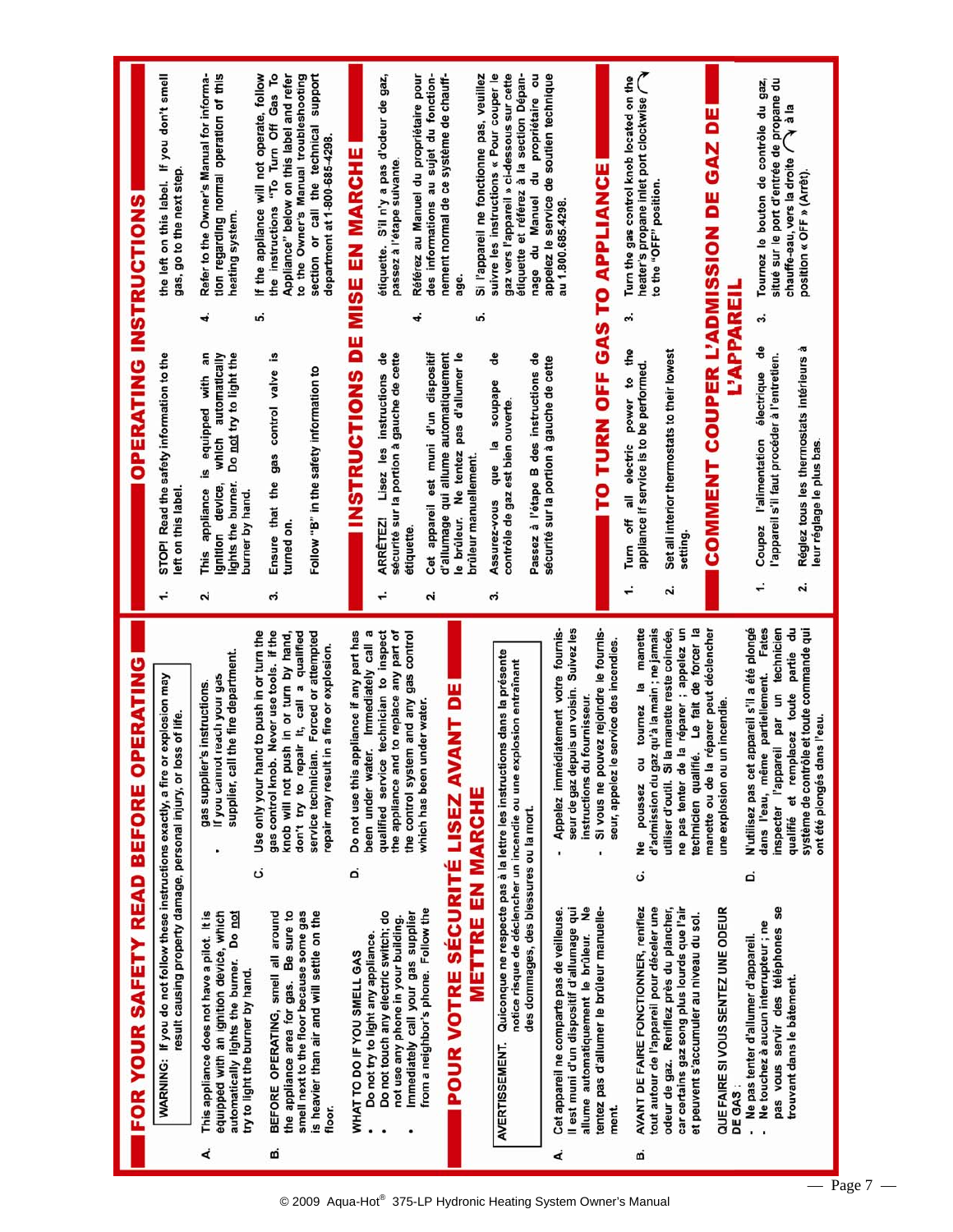|   | result causing property damage, personal injury, or loss of life.<br>WARNING: If you do not follow these instructions exactly, a fire                                            | or explosion may                                                                                                                                                                                                                                                              |    | STOP! Read the safety information to the<br>left on this label.                                                                                                           | the left on this label. If you don't smell<br>gas, go to the next step.                                                                                                                                                                         |
|---|----------------------------------------------------------------------------------------------------------------------------------------------------------------------------------|-------------------------------------------------------------------------------------------------------------------------------------------------------------------------------------------------------------------------------------------------------------------------------|----|---------------------------------------------------------------------------------------------------------------------------------------------------------------------------|-------------------------------------------------------------------------------------------------------------------------------------------------------------------------------------------------------------------------------------------------|
| ∢ | This appliance does not have a pilot. It is<br>automatically lights the burner. Do not<br>equipped with an ignition device, which<br>try to light the burner by hand.            | supplier, call the fire department.<br>If you cannot reach your gas<br>gas supplier's instructions.                                                                                                                                                                           | ۵i | 4<br>an<br>Do not try to light the<br>which automatically<br>equipped with<br><u>. s</u><br>lights the burner.<br>gnition device,<br>appliance<br>burner by hand.<br>This | tion regarding normal operation of this<br>Refer to the Owner's Manual for informa-<br>heating system.                                                                                                                                          |
| ø | the appliance area for gas. Be sure to<br>is heavier than air and will settle on the<br>smell next to the floor because some gas<br>BEFORE OPERATING, smell all around<br>floor. | gas control knob. Never use tools. If the<br>and to push in or turn the<br>don't try to repair it, call a qualified<br>service technician. Forced or attempted<br>knob will not push in or turn by hand,<br>repair may result in a fire or explosion.<br>Use only your h<br>ن | ຕໍ | <u>ဟ</u><br>Ensure that the gas control valve is<br>Follow "B" in the safety information to<br>turned on.                                                                 | Appliance" below on this label and refer<br>If the appliance will not operate, follow<br>the instructions "To Turn Off Gas To<br>section or call the technical support<br>to the Owner's Manual troubleshooting<br>department at 1-800-685-4298 |
|   | WHAT TO DO IF YOU SMELL GAS                                                                                                                                                      | Do not use this appliance if any part has<br>d                                                                                                                                                                                                                                |    | <b>INSTRUCTIONS DE MISE EN MARCHE</b>                                                                                                                                     |                                                                                                                                                                                                                                                 |
|   | Do not touch any electric switch; do<br>not use any phone in your building.<br>Do not try to light any appliance.                                                                | qualified service technician to inspect<br>the appliance and to replace any part of<br>been under water. Immediately call a                                                                                                                                                   | ÷  | sécurité sur la portion à gauche de cette<br>ಕೆ<br>instructions<br>Lisez les<br><b>ARRÉTEZ!</b>                                                                           | étiquette. S'il n'y a pas d'odeur de gaz,<br>passez à l'étape suivante.                                                                                                                                                                         |
|   | from a neighbor's phone. Follow the<br>Immediately call your gas supplier                                                                                                        | the control system and any gas control<br>which has been under water.                                                                                                                                                                                                         | ۵i | 4<br>Cet appareil est muni d'un dispositif<br>étiquette                                                                                                                   | des informations au sujet du fonction-<br>Référez au Manuel du propriétaire pour                                                                                                                                                                |
|   | POUR VOTRE SÉCURITÉ LISEZ AVANT DE                                                                                                                                               |                                                                                                                                                                                                                                                                               |    | d'allumage qui allume automatiquement<br>Ne tentez pas d'allumer le<br>le brûleur.                                                                                        | nement normal de ce système de chauff-                                                                                                                                                                                                          |
|   | <b>METTRE EN MARCHE</b>                                                                                                                                                          |                                                                                                                                                                                                                                                                               |    | ທ່<br>brûleur manuellement.                                                                                                                                               | Si l'appareil ne fonctionne pas, veuillez                                                                                                                                                                                                       |
|   | des dommages, des blessures ou la mort.<br>AVERTISSEMENT.                                                                                                                        | Quiconque ne respecte pas à la lettre les instructions dans la présente<br>notice risque de déclencher un incendie ou une explosion entraînant                                                                                                                                | ຕໍ | å<br>Passez à l'étape B des instructions de<br>soupape<br>contrôle de gaz est bien ouverte.<br>$\overline{a}$<br>que<br>Assurez-vous                                      | gaz vers l'appareil » ci-dessous sur cette<br>étiquette et référez à la section Dépan-<br>suivre les instructions « Pour couper le<br>du propriétaire ou<br>nage du Manuel                                                                      |
| خ | allume automatiquement le brûleur. Ne<br>Il est muni d'un dispositif d'allumage qui<br>Cet appareil ne comparte pas de veilleuse.                                                | Appelez immédiatement votre fournis-<br>seur de gaz depuis un voisin. Suivez les<br>instructions du fournisseur.                                                                                                                                                              |    | sécurité sur la portion à gauche de cette                                                                                                                                 | appelez le service de soutien technique<br>au 1.800.685.4298                                                                                                                                                                                    |
|   | tentez pas d'allumer le brûleur manuelle-<br>ment.                                                                                                                               | Si vous ne pouvez rejoindre le fournis-<br>le service des incendies<br>seur, appelez<br>ï                                                                                                                                                                                     |    | TO TURN OFF GAS TO APPLIANCE                                                                                                                                              |                                                                                                                                                                                                                                                 |
| ø | tout autour de l'appareil pour déceler une<br>AVANT DE FAIRE FONCTIONNER, reniflez                                                                                               | manette<br>d'admission du gaz qu'à la main ; ne jamais<br>$\overline{a}$<br>ou tournez<br>poussez<br>ے<br>ح<br>ن                                                                                                                                                              |    | ö<br>off all electric power to the<br>appliance if service is to be performed.<br>Turn                                                                                    | heater's propane inlet port clockwise<br>Turn the gas control knob located on the<br>to the "OFF" position.                                                                                                                                     |
|   | odeur de gaz. Reniflez près du plancher,<br>car certains gaz song plus lourds que l'air<br>et peuvent s'accumuler au niveau du sol.                                              | technicien qualifié. Le fait de forcer la<br>ne pas tenter de la réparer ; appelez un<br>utiliser d'outil. Si la manette reste coincée,                                                                                                                                       | ۵i | Set all interior thermostats to their lowest<br>setting                                                                                                                   |                                                                                                                                                                                                                                                 |
|   | QUE FAIRE SI VOUS SENTEZ UNE ODEUR                                                                                                                                               | manette ou de la réparer peut déclencher<br>une explosion ou un incendie.                                                                                                                                                                                                     |    | COMMENT COUPER L'ADMISSION DE GAZ DE                                                                                                                                      |                                                                                                                                                                                                                                                 |
|   | pas vous servir des téléphones se<br>Ne touchez à aucun interrupteur ; ne<br>Ne pas tenter d'allumer d'appareil.<br>DE GAS:<br>ï                                                 | N'utilisez pas cet appareil s'il a été plongé<br>Fates<br>inspecter l'appareil par un technicien<br>dans l'eau, même partiellement.<br>ه                                                                                                                                      | ÷  | L'APPAREIL<br>ຕໍ<br>å<br>l'appareil s'il faut procéder à l'entretien.<br>électrique<br>l'alimentation<br>Coupez                                                           | Tournez le bouton de contrôle du gaz,<br>situé sur le port d'entrée de propane du                                                                                                                                                               |
|   | trouvant dans le bâtement.                                                                                                                                                       | partie du<br>système de contrôle et toute commande qui<br>qualifié et remplacez toute<br>ont été plongés dans l'eau.                                                                                                                                                          | ۵i | Réglez tous les thermostats intérieurs à<br>leur réglage le plus bas.                                                                                                     | chauffe-eau, vers la droite $\bigcap$ à la<br>position « OFF » (Arrêt).                                                                                                                                                                         |

# **OPERATING INSTRUCTIONS**

FOR YOUR SAFETY READ BEFORE OPERATING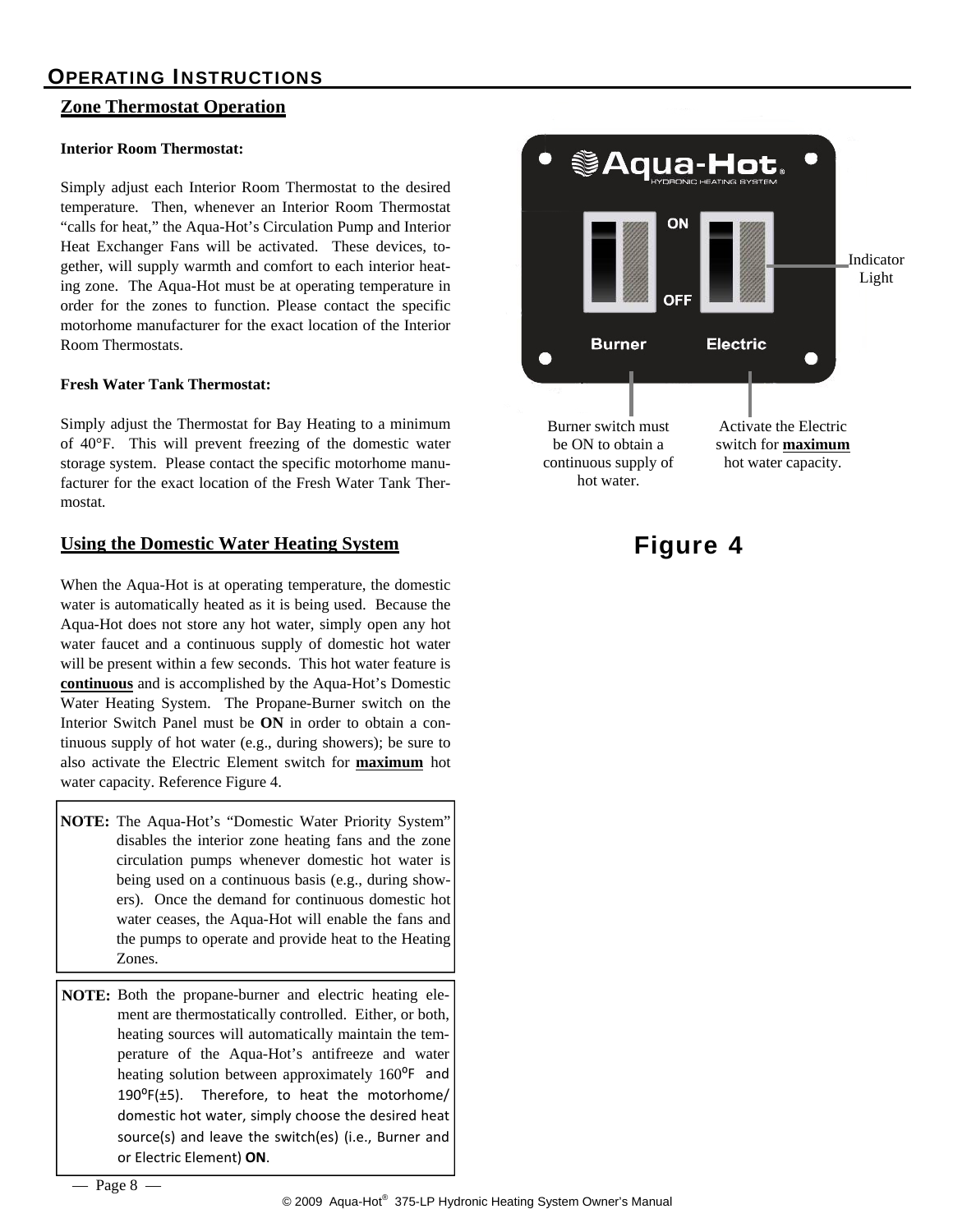#### OPERATING INSTRUCTIONS

#### **Zone Thermostat Operation**

#### **Interior Room Thermostat:**

Simply adjust each Interior Room Thermostat to the desired temperature. Then, whenever an Interior Room Thermostat "calls for heat," the Aqua-Hot's Circulation Pump and Interior Heat Exchanger Fans will be activated. These devices, together, will supply warmth and comfort to each interior heating zone. The Aqua-Hot must be at operating temperature in order for the zones to function. Please contact the specific motorhome manufacturer for the exact location of the Interior Room Thermostats.

#### **Fresh Water Tank Thermostat:**

Simply adjust the Thermostat for Bay Heating to a minimum of 40°F. This will prevent freezing of the domestic water storage system. Please contact the specific motorhome manufacturer for the exact location of the Fresh Water Tank Thermostat.

#### **Using the Domestic Water Heating System**

When the Aqua-Hot is at operating temperature, the domestic water is automatically heated as it is being used. Because the Aqua-Hot does not store any hot water, simply open any hot water faucet and a continuous supply of domestic hot water will be present within a few seconds. This hot water feature is **continuous** and is accomplished by the Aqua-Hot's Domestic Water Heating System. The Propane-Burner switch on the Interior Switch Panel must be **ON** in order to obtain a continuous supply of hot water (e.g., during showers); be sure to also activate the Electric Element switch for **maximum** hot water capacity. Reference Figure 4.

**NOTE:** The Aqua-Hot's "Domestic Water Priority System" disables the interior zone heating fans and the zone circulation pumps whenever domestic hot water is being used on a continuous basis (e.g., during showers). Once the demand for continuous domestic hot water ceases, the Aqua-Hot will enable the fans and the pumps to operate and provide heat to the Heating Zones.

**NOTE:** Both the propane-burner and electric heating element are thermostatically controlled. Either, or both, heating sources will automatically maintain the temperature of the Aqua-Hot's antifreeze and water heating solution between approximately 160<sup>o</sup>F and  $190^{\circ}$ F(±5). Therefore, to heat the motorhome/ domestic hot water, simply choose the desired heat source(s) and leave the switch(es) (i.e., Burner and or Electric Element) **ON**.



Figure 4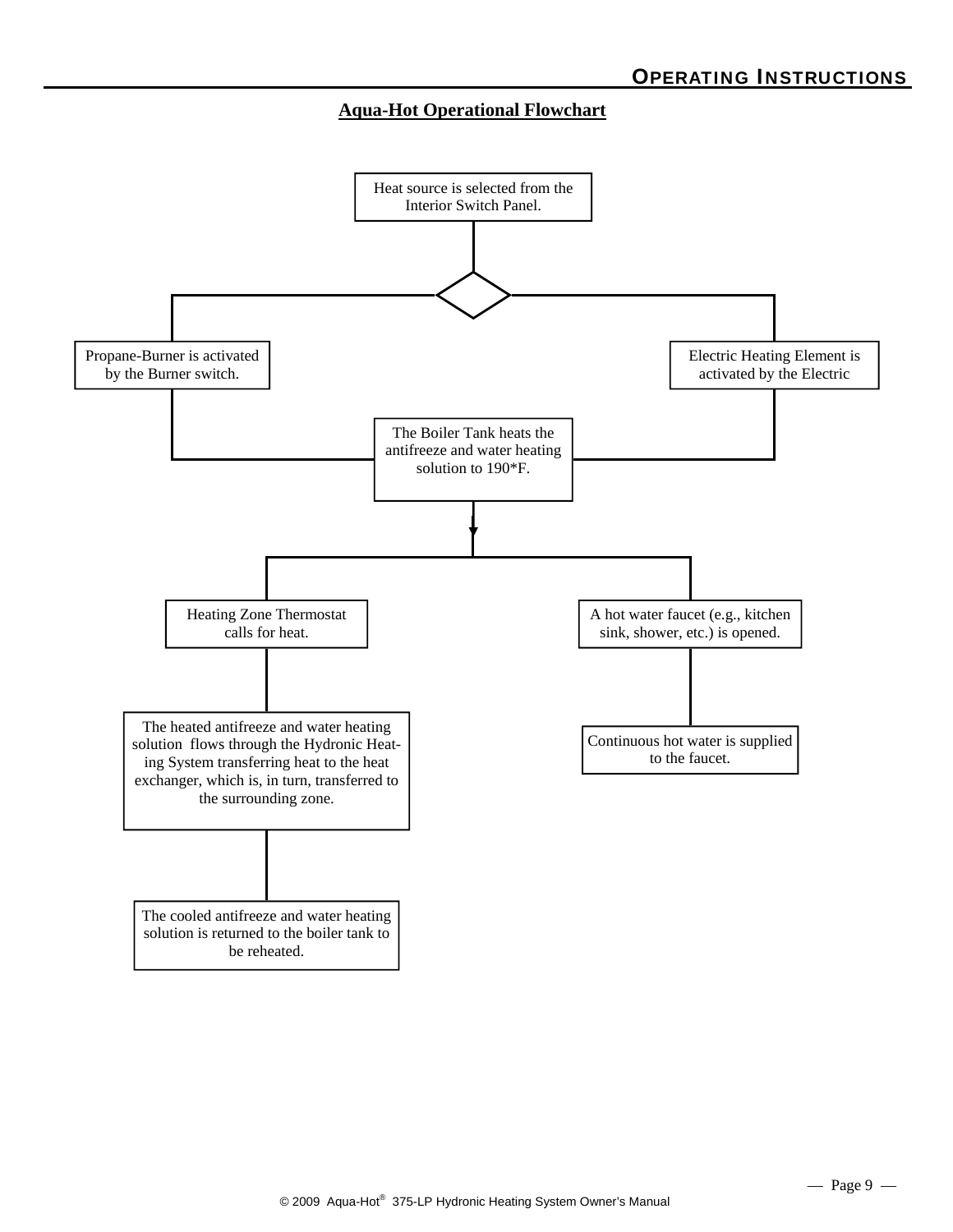#### **Aqua-Hot Operational Flowchart**

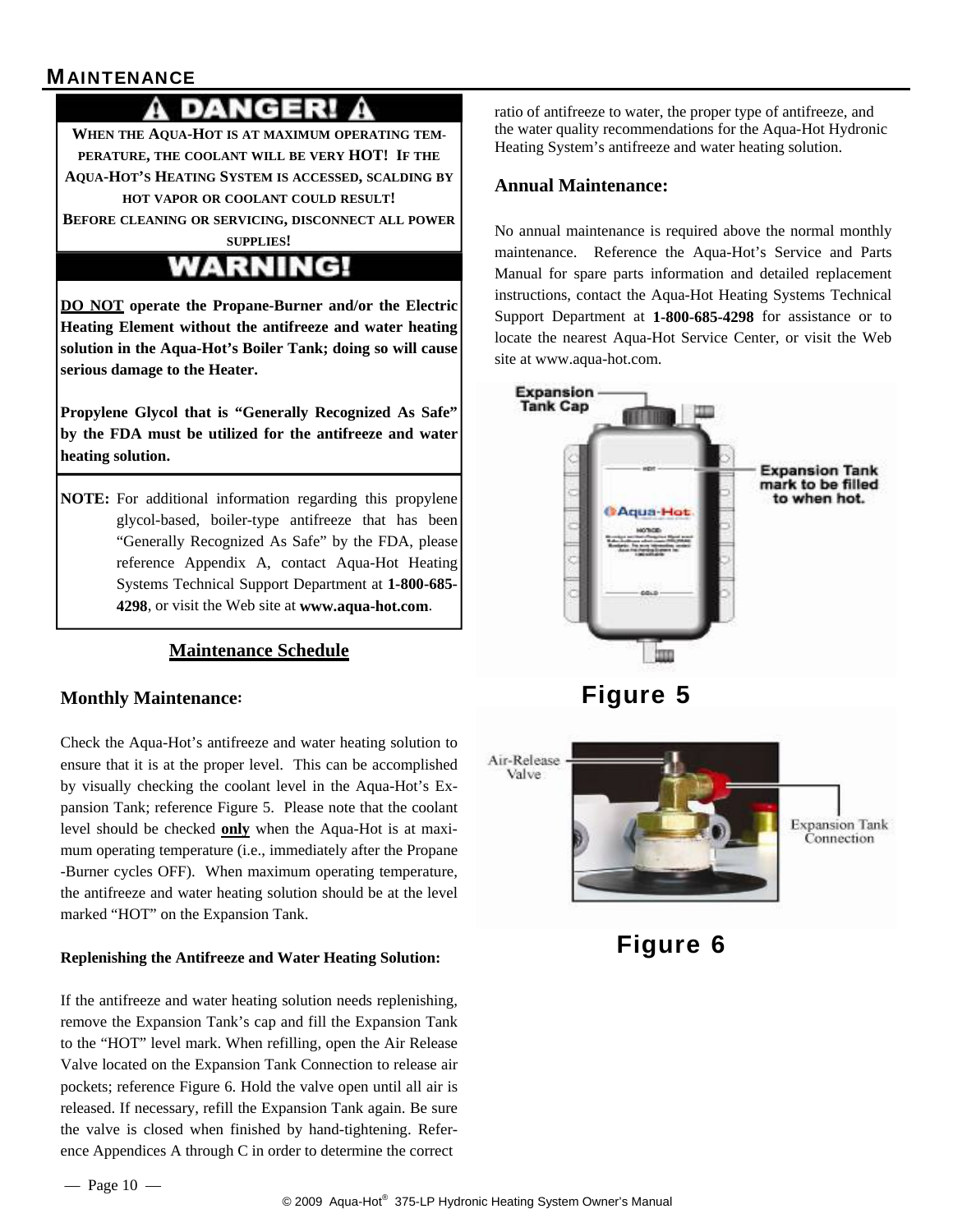#### **MAINTENANCE**

## DANGERI

**WHEN THE AQUA-HOT IS AT MAXIMUM OPERATING TEM-PERATURE, THE COOLANT WILL BE VERY HOT! IF THE AQUA-HOT'S HEATING SYSTEM IS ACCESSED, SCALDING BY HOT VAPOR OR COOLANT COULD RESULT!** 

**BEFORE CLEANING OR SERVICING, DISCONNECT ALL POWER**

# **WARNING!**

**DO NOT operate the Propane-Burner and/or the Electric Heating Element without the antifreeze and water heating solution in the Aqua-Hot's Boiler Tank; doing so will cause serious damage to the Heater.** 

**Propylene Glycol that is "Generally Recognized As Safe" by the FDA must be utilized for the antifreeze and water heating solution.** 

**NOTE:** For additional information regarding this propylene glycol-based, boiler-type antifreeze that has been "Generally Recognized As Safe" by the FDA, please reference Appendix A, contact Aqua-Hot Heating Systems Technical Support Department at **1-800-685- 4298**, or visit the Web site at **www.aqua-hot.com**.

#### **Maintenance Schedule**

#### **Monthly Maintenance:**

Check the Aqua-Hot's antifreeze and water heating solution to ensure that it is at the proper level. This can be accomplished by visually checking the coolant level in the Aqua-Hot's Expansion Tank; reference Figure 5. Please note that the coolant level should be checked **only** when the Aqua-Hot is at maximum operating temperature (i.e., immediately after the Propane -Burner cycles OFF). When maximum operating temperature, the antifreeze and water heating solution should be at the level marked "HOT" on the Expansion Tank.

#### **Replenishing the Antifreeze and Water Heating Solution:**

If the antifreeze and water heating solution needs replenishing, remove the Expansion Tank's cap and fill the Expansion Tank to the "HOT" level mark. When refilling, open the Air Release Valve located on the Expansion Tank Connection to release air pockets; reference Figure 6. Hold the valve open until all air is released. If necessary, refill the Expansion Tank again. Be sure the valve is closed when finished by hand-tightening. Reference Appendices A through C in order to determine the correct

ratio of antifreeze to water, the proper type of antifreeze, and the water quality recommendations for the Aqua-Hot Hydronic Heating System's antifreeze and water heating solution.

#### **Annual Maintenance:**

No annual maintenance is required above the normal monthly maintenance. Reference the Aqua-Hot's Service and Parts Manual for spare parts information and detailed replacement instructions, contact the Aqua-Hot Heating Systems Technical Support Department at **1-800-685-4298** for assistance or to locate the nearest Aqua-Hot Service Center, or visit the Web site at www.aqua-hot.com.



Figure 6

**SUPPLIES!**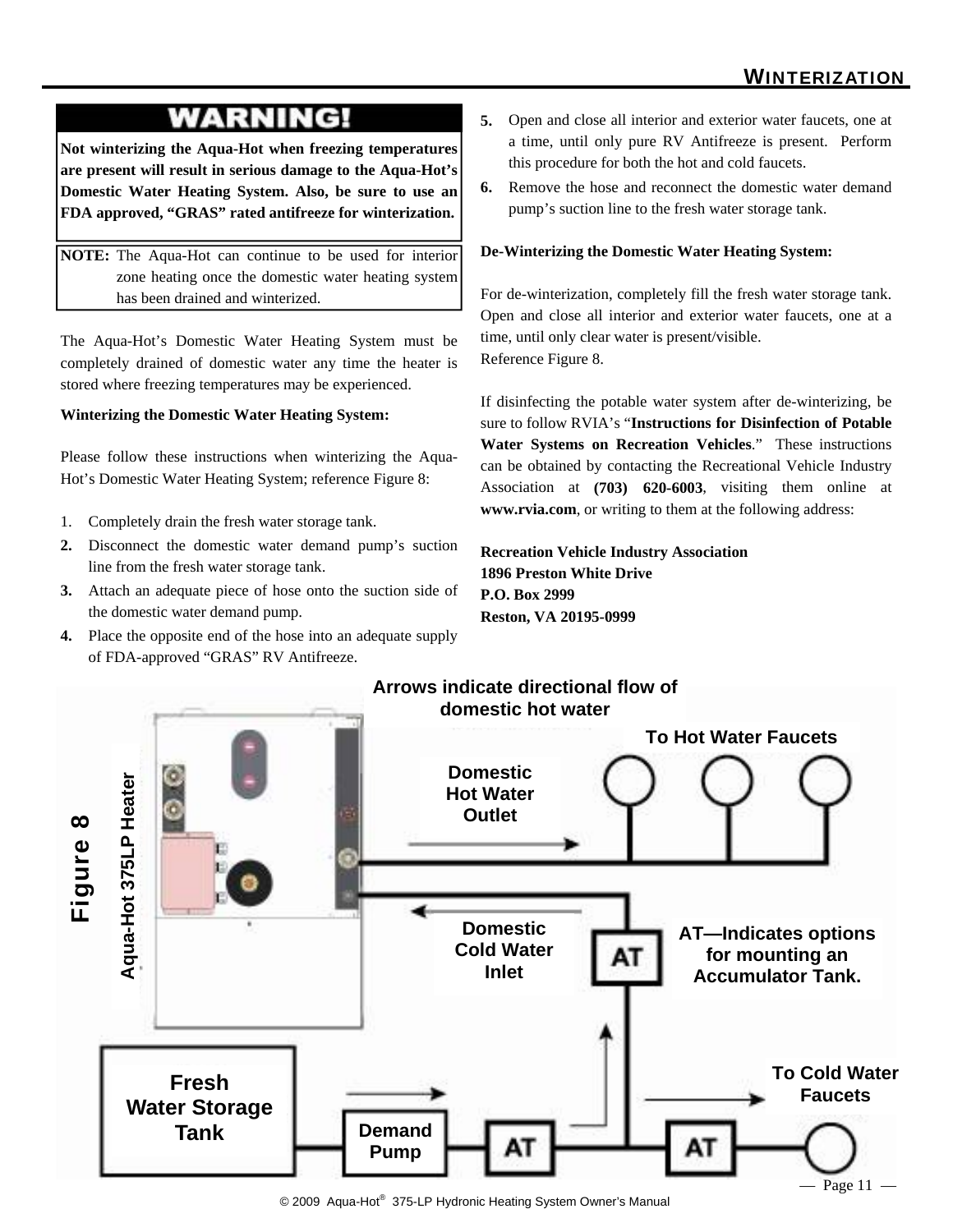### **WARNING!**

**Not winterizing the Aqua-Hot when freezing temperatures are present will result in serious damage to the Aqua-Hot's Domestic Water Heating System. Also, be sure to use an FDA approved, "GRAS" rated antifreeze for winterization.** 

**NOTE:** The Aqua-Hot can continue to be used for interior zone heating once the domestic water heating system has been drained and winterized.

The Aqua-Hot's Domestic Water Heating System must be completely drained of domestic water any time the heater is stored where freezing temperatures may be experienced.

#### **Winterizing the Domestic Water Heating System:**

Please follow these instructions when winterizing the Aqua-Hot's Domestic Water Heating System; reference Figure 8:

- 1. Completely drain the fresh water storage tank.
- **2.** Disconnect the domestic water demand pump's suction line from the fresh water storage tank.
- **3.** Attach an adequate piece of hose onto the suction side of the domestic water demand pump.
- **4.** Place the opposite end of the hose into an adequate supply of FDA-approved "GRAS" RV Antifreeze.
- **5.** Open and close all interior and exterior water faucets, one at a time, until only pure RV Antifreeze is present. Perform this procedure for both the hot and cold faucets.
- **6.** Remove the hose and reconnect the domestic water demand pump's suction line to the fresh water storage tank.

#### **De-Winterizing the Domestic Water Heating System:**

For de-winterization, completely fill the fresh water storage tank. Open and close all interior and exterior water faucets, one at a time, until only clear water is present/visible. Reference Figure 8.

If disinfecting the potable water system after de-winterizing, be sure to follow RVIA's "**Instructions for Disinfection of Potable Water Systems on Recreation Vehicles**." These instructions can be obtained by contacting the Recreational Vehicle Industry Association at **(703) 620-6003**, visiting them online at **www.rvia.com**, or writing to them at the following address:

#### **Recreation Vehicle Industry Association 1896 Preston White Drive P.O. Box 2999 Reston, VA 20195-0999**



<sup>© 2009</sup> Aqua-Hot® 375-LP Hydronic Heating System Owner's Manual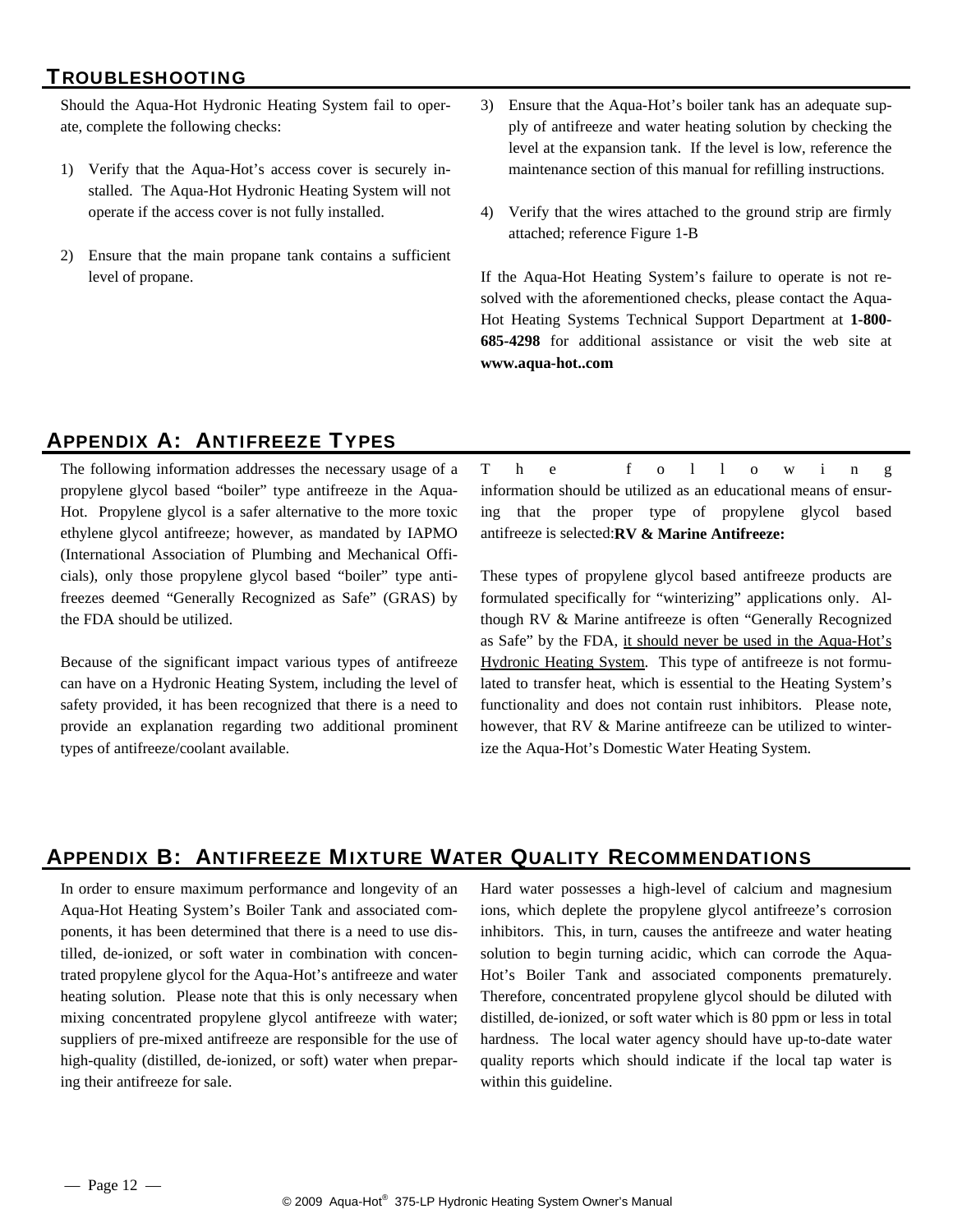#### TROUBLESHOOTING

Should the Aqua-Hot Hydronic Heating System fail to operate, complete the following checks:

- 1) Verify that the Aqua-Hot's access cover is securely installed. The Aqua-Hot Hydronic Heating System will not operate if the access cover is not fully installed.
- 2) Ensure that the main propane tank contains a sufficient level of propane.
- 3) Ensure that the Aqua-Hot's boiler tank has an adequate supply of antifreeze and water heating solution by checking the level at the expansion tank. If the level is low, reference the maintenance section of this manual for refilling instructions.
- 4) Verify that the wires attached to the ground strip are firmly attached; reference Figure 1-B

If the Aqua-Hot Heating System's failure to operate is not resolved with the aforementioned checks, please contact the Aqua-Hot Heating Systems Technical Support Department at **1-800- 685-4298** for additional assistance or visit the web site at **www.aqua-hot..com**

#### APPENDIX A: ANTIFREEZE TYPES

The following information addresses the necessary usage of a propylene glycol based "boiler" type antifreeze in the Aqua-Hot. Propylene glycol is a safer alternative to the more toxic ethylene glycol antifreeze; however, as mandated by IAPMO (International Association of Plumbing and Mechanical Officials), only those propylene glycol based "boiler" type antifreezes deemed "Generally Recognized as Safe" (GRAS) by the FDA should be utilized.

Because of the significant impact various types of antifreeze can have on a Hydronic Heating System, including the level of safety provided, it has been recognized that there is a need to provide an explanation regarding two additional prominent types of antifreeze/coolant available.

T h e f o l l o w i n g information should be utilized as an educational means of ensuring that the proper type of propylene glycol based antifreeze is selected:**RV & Marine Antifreeze:**

These types of propylene glycol based antifreeze products are formulated specifically for "winterizing" applications only. Although RV & Marine antifreeze is often "Generally Recognized as Safe" by the FDA, it should never be used in the Aqua-Hot's Hydronic Heating System. This type of antifreeze is not formulated to transfer heat, which is essential to the Heating System's functionality and does not contain rust inhibitors. Please note, however, that RV & Marine antifreeze can be utilized to winterize the Aqua-Hot's Domestic Water Heating System.

#### APPENDIX B: ANTIFREEZE MIXTURE WATER QUALITY RECOMMENDATIONS

In order to ensure maximum performance and longevity of an Aqua-Hot Heating System's Boiler Tank and associated components, it has been determined that there is a need to use distilled, de-ionized, or soft water in combination with concentrated propylene glycol for the Aqua-Hot's antifreeze and water heating solution. Please note that this is only necessary when mixing concentrated propylene glycol antifreeze with water; suppliers of pre-mixed antifreeze are responsible for the use of high-quality (distilled, de-ionized, or soft) water when preparing their antifreeze for sale.

Hard water possesses a high-level of calcium and magnesium ions, which deplete the propylene glycol antifreeze's corrosion inhibitors. This, in turn, causes the antifreeze and water heating solution to begin turning acidic, which can corrode the Aqua-Hot's Boiler Tank and associated components prematurely. Therefore, concentrated propylene glycol should be diluted with distilled, de-ionized, or soft water which is 80 ppm or less in total hardness. The local water agency should have up-to-date water quality reports which should indicate if the local tap water is within this guideline.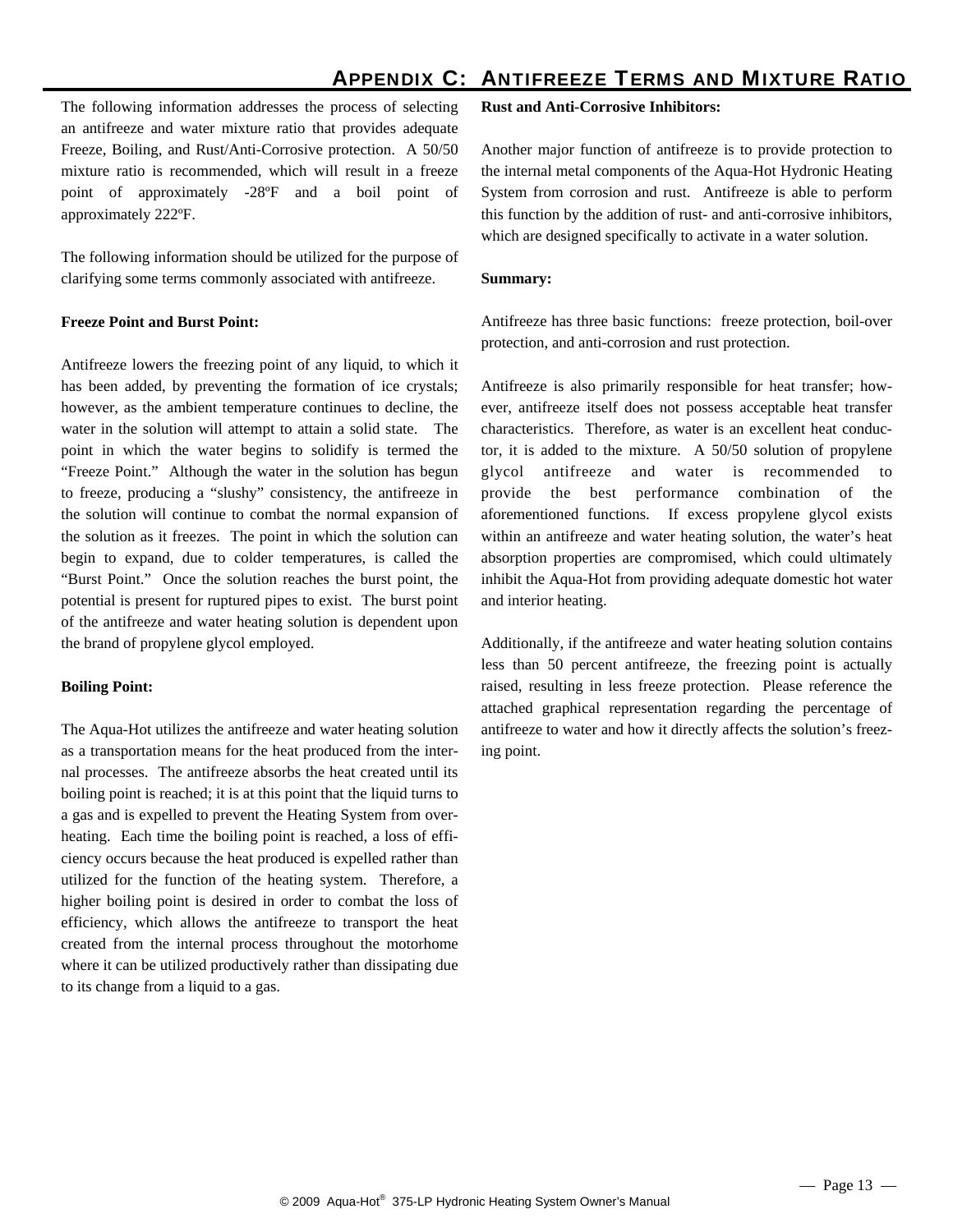#### APPENDIX C: ANTIFREEZE TERMS AND MIXTURE RATIO

The following information addresses the process of selecting an antifreeze and water mixture ratio that provides adequate Freeze, Boiling, and Rust/Anti-Corrosive protection. A 50/50 mixture ratio is recommended, which will result in a freeze point of approximately -28ºF and a boil point of approximately 222ºF.

The following information should be utilized for the purpose of clarifying some terms commonly associated with antifreeze.

#### **Freeze Point and Burst Point:**

Antifreeze lowers the freezing point of any liquid, to which it has been added, by preventing the formation of ice crystals; however, as the ambient temperature continues to decline, the water in the solution will attempt to attain a solid state. The point in which the water begins to solidify is termed the "Freeze Point." Although the water in the solution has begun to freeze, producing a "slushy" consistency, the antifreeze in the solution will continue to combat the normal expansion of the solution as it freezes. The point in which the solution can begin to expand, due to colder temperatures, is called the "Burst Point." Once the solution reaches the burst point, the potential is present for ruptured pipes to exist. The burst point of the antifreeze and water heating solution is dependent upon the brand of propylene glycol employed.

#### **Boiling Point:**

The Aqua-Hot utilizes the antifreeze and water heating solution as a transportation means for the heat produced from the internal processes. The antifreeze absorbs the heat created until its boiling point is reached; it is at this point that the liquid turns to a gas and is expelled to prevent the Heating System from overheating. Each time the boiling point is reached, a loss of efficiency occurs because the heat produced is expelled rather than utilized for the function of the heating system. Therefore, a higher boiling point is desired in order to combat the loss of efficiency, which allows the antifreeze to transport the heat created from the internal process throughout the motorhome where it can be utilized productively rather than dissipating due to its change from a liquid to a gas.

#### **Rust and Anti-Corrosive Inhibitors:**

Another major function of antifreeze is to provide protection to the internal metal components of the Aqua-Hot Hydronic Heating System from corrosion and rust. Antifreeze is able to perform this function by the addition of rust- and anti-corrosive inhibitors, which are designed specifically to activate in a water solution.

#### **Summary:**

Antifreeze has three basic functions: freeze protection, boil-over protection, and anti-corrosion and rust protection.

Antifreeze is also primarily responsible for heat transfer; however, antifreeze itself does not possess acceptable heat transfer characteristics. Therefore, as water is an excellent heat conductor, it is added to the mixture. A 50/50 solution of propylene glycol antifreeze and water is recommended to provide the best performance combination of the aforementioned functions. If excess propylene glycol exists within an antifreeze and water heating solution, the water's heat absorption properties are compromised, which could ultimately inhibit the Aqua-Hot from providing adequate domestic hot water and interior heating.

Additionally, if the antifreeze and water heating solution contains less than 50 percent antifreeze, the freezing point is actually raised, resulting in less freeze protection. Please reference the attached graphical representation regarding the percentage of antifreeze to water and how it directly affects the solution's freezing point.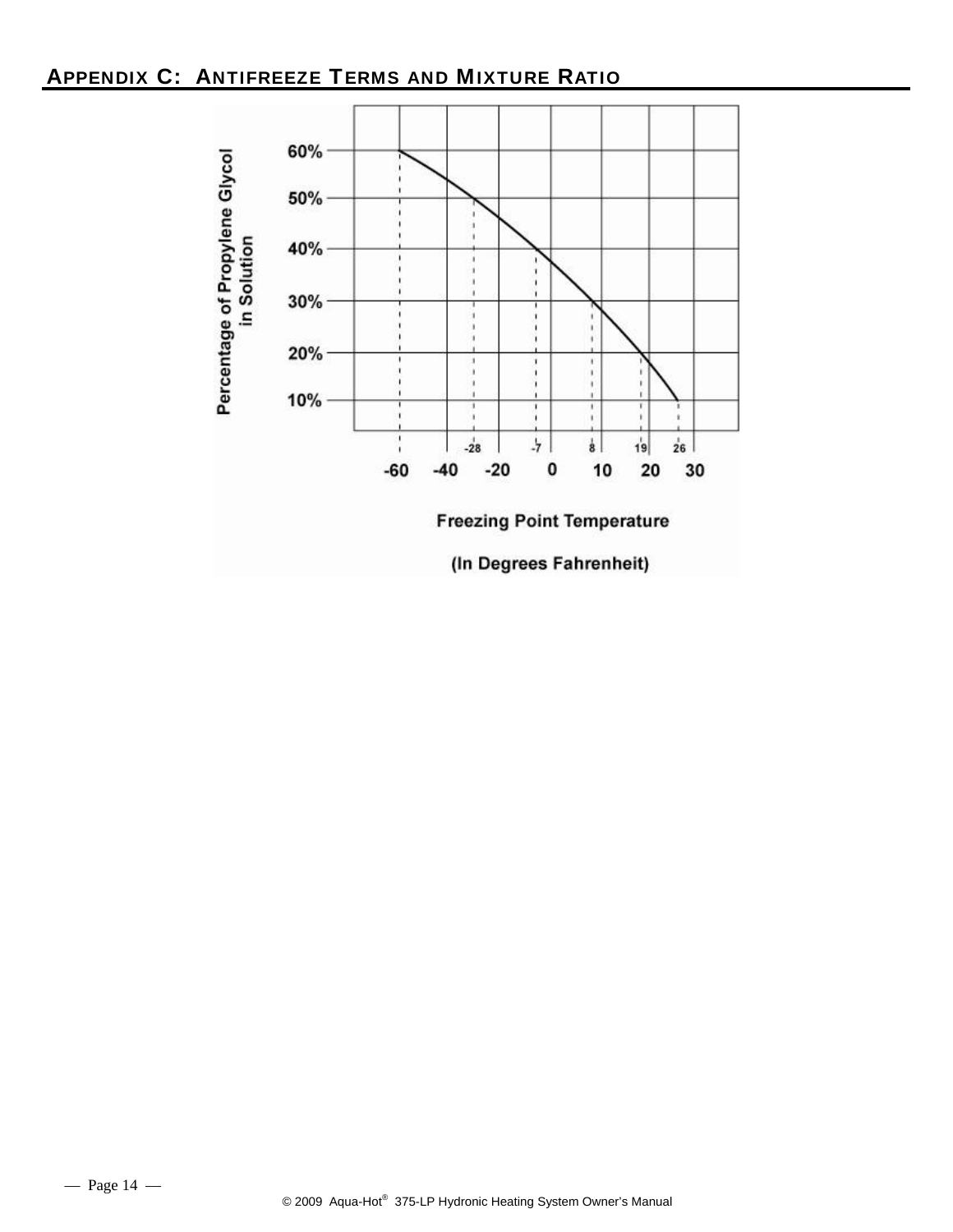#### APPENDIX C: ANTIFREEZE TERMS AND MIXTURE RATIO

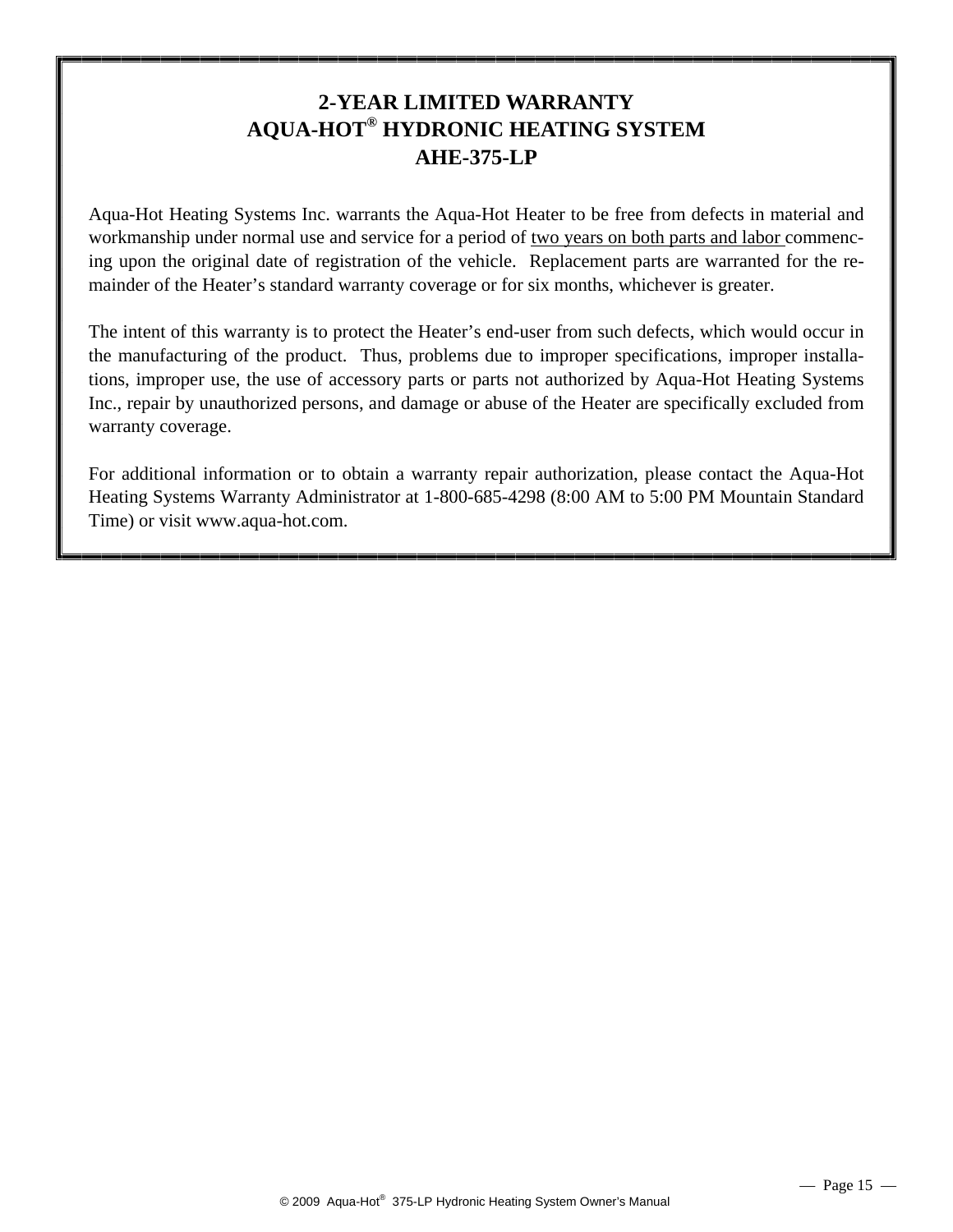#### **2-YEAR LIMITED WARRANTY AQUA-HOT® HYDRONIC HEATING SYSTEM AHE-375-LP**

Aqua-Hot Heating Systems Inc. warrants the Aqua-Hot Heater to be free from defects in material and workmanship under normal use and service for a period of two years on both parts and labor commencing upon the original date of registration of the vehicle. Replacement parts are warranted for the remainder of the Heater's standard warranty coverage or for six months, whichever is greater.

The intent of this warranty is to protect the Heater's end-user from such defects, which would occur in the manufacturing of the product. Thus, problems due to improper specifications, improper installations, improper use, the use of accessory parts or parts not authorized by Aqua-Hot Heating Systems Inc., repair by unauthorized persons, and damage or abuse of the Heater are specifically excluded from warranty coverage.

For additional information or to obtain a warranty repair authorization, please contact the Aqua-Hot Heating Systems Warranty Administrator at 1-800-685-4298 (8:00 AM to 5:00 PM Mountain Standard Time) or visit www.aqua-hot.com.